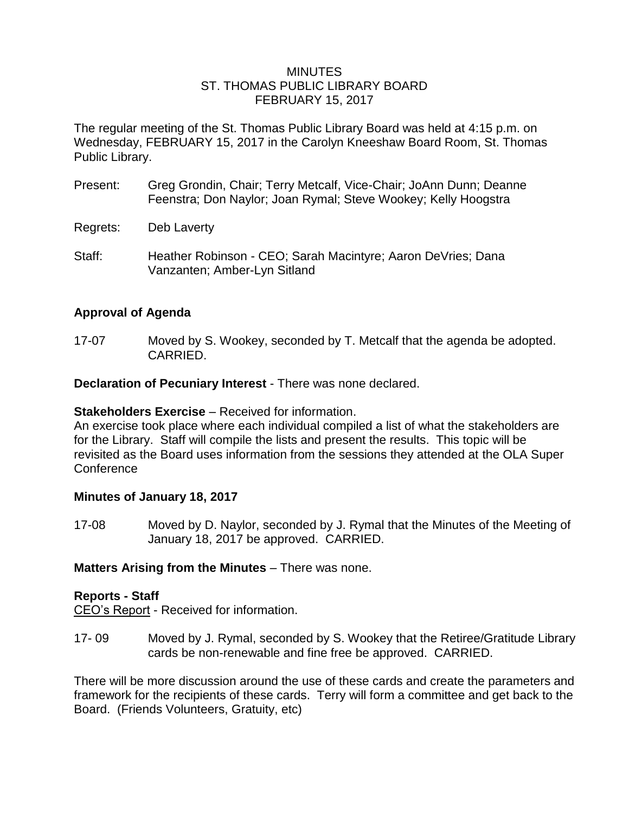#### **MINUTES** ST. THOMAS PUBLIC LIBRARY BOARD FEBRUARY 15, 2017

The regular meeting of the St. Thomas Public Library Board was held at 4:15 p.m. on Wednesday, FEBRUARY 15, 2017 in the Carolyn Kneeshaw Board Room, St. Thomas Public Library.

- Present: Greg Grondin, Chair; Terry Metcalf, Vice-Chair; JoAnn Dunn; Deanne Feenstra; Don Naylor; Joan Rymal; Steve Wookey; Kelly Hoogstra
- Regrets: Deb Laverty
- Staff: Heather Robinson CEO; Sarah Macintyre; Aaron DeVries; Dana Vanzanten; Amber-Lyn Sitland

### **Approval of Agenda**

17-07 Moved by S. Wookey, seconded by T. Metcalf that the agenda be adopted. CARRIED.

**Declaration of Pecuniary Interest** - There was none declared.

#### **Stakeholders Exercise** – Received for information.

An exercise took place where each individual compiled a list of what the stakeholders are for the Library. Staff will compile the lists and present the results. This topic will be revisited as the Board uses information from the sessions they attended at the OLA Super **Conference** 

### **Minutes of January 18, 2017**

17-08 Moved by D. Naylor, seconded by J. Rymal that the Minutes of the Meeting of January 18, 2017 be approved. CARRIED.

### **Matters Arising from the Minutes** – There was none.

#### **Reports - Staff**

CEO's Report - Received for information.

17- 09 Moved by J. Rymal, seconded by S. Wookey that the Retiree/Gratitude Library cards be non-renewable and fine free be approved. CARRIED.

There will be more discussion around the use of these cards and create the parameters and framework for the recipients of these cards. Terry will form a committee and get back to the Board. (Friends Volunteers, Gratuity, etc)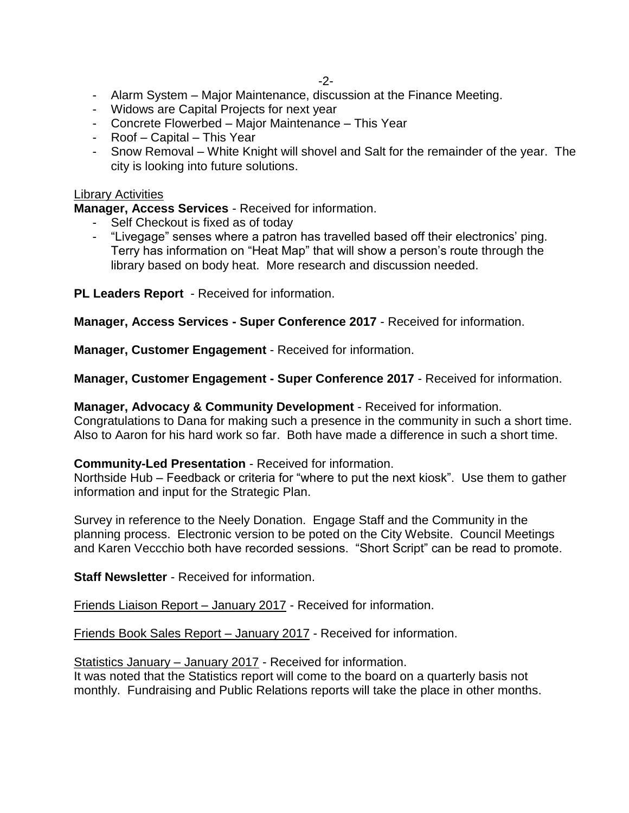- Alarm System Major Maintenance, discussion at the Finance Meeting.
- Widows are Capital Projects for next year
- Concrete Flowerbed Major Maintenance This Year
- Roof Capital This Year
- Snow Removal White Knight will shovel and Salt for the remainder of the year. The city is looking into future solutions.

#### Library Activities

**Manager, Access Services** - Received for information.

- Self Checkout is fixed as of today
- "Livegage" senses where a patron has travelled based off their electronics' ping. Terry has information on "Heat Map" that will show a person's route through the library based on body heat. More research and discussion needed.

**PL Leaders Report** - Received for information.

**Manager, Access Services - Super Conference 2017** - Received for information.

**Manager, Customer Engagement** - Received for information.

**Manager, Customer Engagement - Super Conference 2017** - Received for information.

**Manager, Advocacy & Community Development** - Received for information. Congratulations to Dana for making such a presence in the community in such a short time. Also to Aaron for his hard work so far. Both have made a difference in such a short time.

#### **Community-Led Presentation** - Received for information.

Northside Hub – Feedback or criteria for "where to put the next kiosk". Use them to gather information and input for the Strategic Plan.

Survey in reference to the Neely Donation. Engage Staff and the Community in the planning process. Electronic version to be poted on the City Website. Council Meetings and Karen Veccchio both have recorded sessions. "Short Script" can be read to promote.

**Staff Newsletter** - Received for information.

Friends Liaison Report – January 2017 - Received for information.

Friends Book Sales Report – January 2017 - Received for information.

Statistics January – January 2017 - Received for information.

It was noted that the Statistics report will come to the board on a quarterly basis not monthly. Fundraising and Public Relations reports will take the place in other months.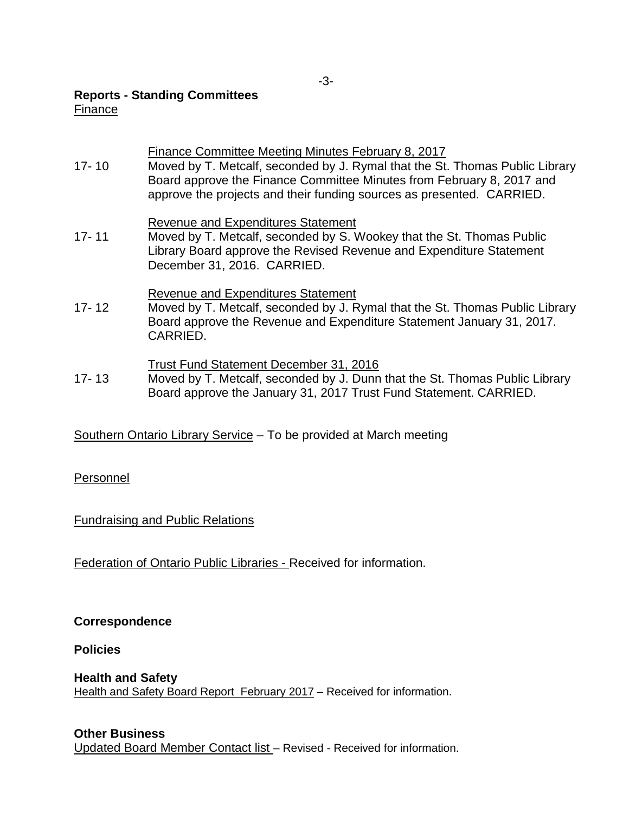### **Reports - Standing Committees**

### Finance

### Finance Committee Meeting Minutes February 8, 2017

17- 10 Moved by T. Metcalf, seconded by J. Rymal that the St. Thomas Public Library Board approve the Finance Committee Minutes from February 8, 2017 and approve the projects and their funding sources as presented. CARRIED.

### Revenue and Expenditures Statement

17- 11 Moved by T. Metcalf, seconded by S. Wookey that the St. Thomas Public Library Board approve the Revised Revenue and Expenditure Statement December 31, 2016. CARRIED.

### Revenue and Expenditures Statement

17- 12 Moved by T. Metcalf, seconded by J. Rymal that the St. Thomas Public Library Board approve the Revenue and Expenditure Statement January 31, 2017. CARRIED.

### Trust Fund Statement December 31, 2016

17- 13 Moved by T. Metcalf, seconded by J. Dunn that the St. Thomas Public Library Board approve the January 31, 2017 Trust Fund Statement. CARRIED.

# Southern Ontario Library Service – To be provided at March meeting

# Personnel

# Fundraising and Public Relations

Federation of Ontario Public Libraries - Received for information.

### **Correspondence**

### **Policies**

**Health and Safety** Health and Safety Board Report February 2017 – Received for information.

### **Other Business**

Updated Board Member Contact list – Revised - Received for information.